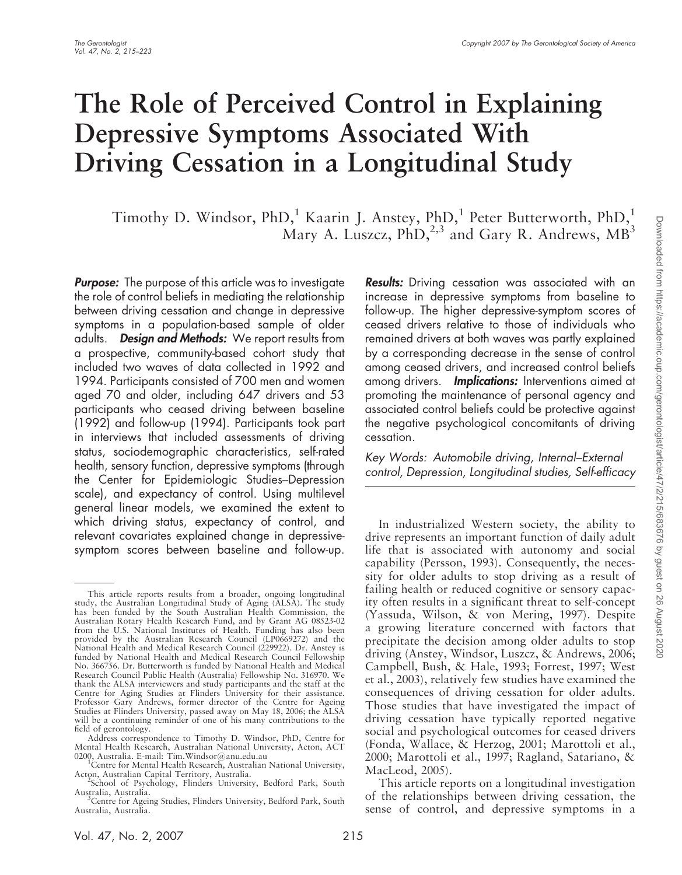# The Role of Perceived Control in Explaining Depressive Symptoms Associated With Driving Cessation in a Longitudinal Study

Timothy D. Windsor, PhD,<sup>1</sup> Kaarin J. Anstey, PhD,<sup>1</sup> Peter Butterworth, PhD,<sup>1</sup> Mary A. Luszcz,  $PhD<sub>z</sub><sup>3</sup>$  and Gary R. Andrews,  $MB<sup>3</sup>$ 

**Purpose:** The purpose of this article was to investigate the role of control beliefs in mediating the relationship between driving cessation and change in depressive symptoms in a population-based sample of older adults. Design and Methods: We report results from a prospective, community-based cohort study that included two waves of data collected in 1992 and 1994. Participants consisted of 700 men and women aged 70 and older, including 647 drivers and 53 participants who ceased driving between baseline (1992) and follow-up (1994). Participants took part in interviews that included assessments of driving status, sociodemographic characteristics, self-rated health, sensory function, depressive symptoms (through the Center for Epidemiologic Studies–Depression scale), and expectancy of control. Using multilevel general linear models, we examined the extent to which driving status, expectancy of control, and relevant covariates explained change in depressivesymptom scores between baseline and follow-up.

**Results:** Driving cessation was associated with an increase in depressive symptoms from baseline to follow-up. The higher depressive-symptom scores of ceased drivers relative to those of individuals who remained drivers at both waves was partly explained by a corresponding decrease in the sense of control among ceased drivers, and increased control beliefs among drivers. **Implications:** Interventions aimed at promoting the maintenance of personal agency and associated control beliefs could be protective against the negative psychological concomitants of driving cessation.

Key Words: Automobile driving, Internal–External control, Depression, Longitudinal studies, Self-efficacy

In industrialized Western society, the ability to drive represents an important function of daily adult life that is associated with autonomy and social capability (Persson, 1993). Consequently, the necessity for older adults to stop driving as a result of failing health or reduced cognitive or sensory capacity often results in a significant threat to self-concept (Yassuda, Wilson, & von Mering, 1997). Despite a growing literature concerned with factors that precipitate the decision among older adults to stop driving (Anstey, Windsor, Luszcz, & Andrews, 2006; Campbell, Bush, & Hale, 1993; Forrest, 1997; West et al., 2003), relatively few studies have examined the consequences of driving cessation for older adults. Those studies that have investigated the impact of driving cessation have typically reported negative social and psychological outcomes for ceased drivers (Fonda, Wallace, & Herzog, 2001; Marottoli et al., 2000; Marottoli et al., 1997; Ragland, Satariano, & MacLeod, 2005).

This article reports on a longitudinal investigation of the relationships between driving cessation, the sense of control, and depressive symptoms in a

This article reports results from a broader, ongoing longitudinal study, the Australian Longitudinal Study of Aging (ALSA). The study has been funded by the South Australian Health Commission, the Australian Rotary Health Research Fund, and by Grant AG 08523-02 from the U.S. National Institutes of Health. Funding has also been provided by the Australian Research Council (LP0669272) and the National Health and Medical Research Council (229922). Dr. Anstey is funded by National Health and Medical Research Council Fellowship No. 366756. Dr. Butterworth is funded by National Health and Medical Research Council Public Health (Australia) Fellowship No. 316970. We thank the ALSA interviewers and study participants and the staff at the Centre for Aging Studies at Flinders University for their assistance. Professor Gary Andrews, former director of the Centre for Ageing Studies at Flinders University, passed away on May 18, 2006; the ALSA will be a continuing reminder of one of his many contributions to the field of gerontology.

Address correspondence to Timothy D. Windsor, PhD, Centre for Mental Health Research, Australian National University, Acton, ACT<br>0200, Australia. E-mail: Tim.Windsor@anu.edu.au<br><sup>-1</sup>Centra for Mental Health Research, Australian National University

Centre for Mental Health Research, Australian National University, Acton, Australian Capital Territory, Australia. <sup>2</sup>

School of Psychology, Flinders University, Bedford Park, South Australia, Australia. <sup>3</sup>

<sup>&</sup>lt;sup>3</sup>Centre for Ageing Studies, Flinders University, Bedford Park, South Australia, Australia.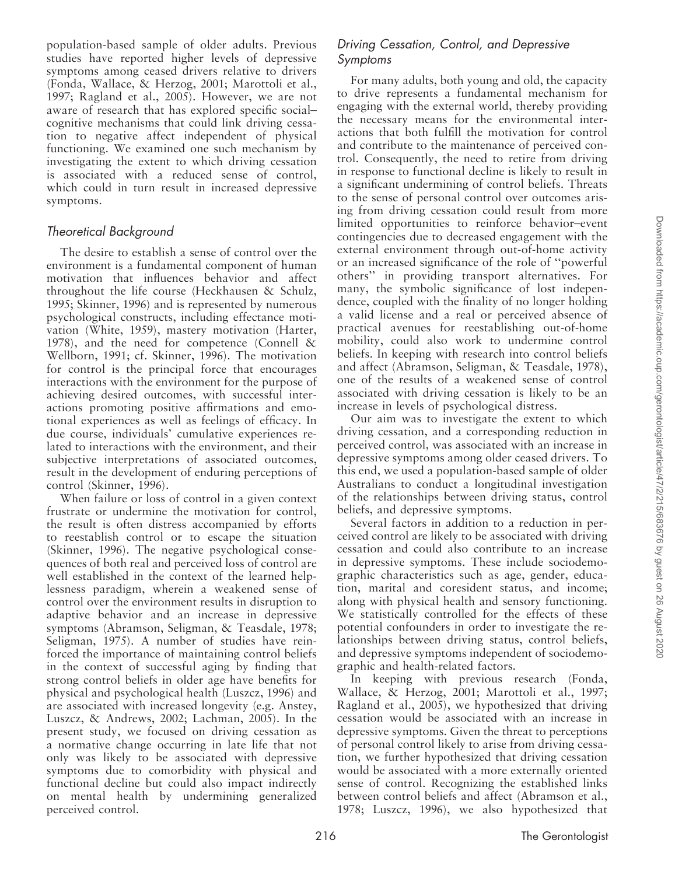population-based sample of older adults. Previous studies have reported higher levels of depressive symptoms among ceased drivers relative to drivers (Fonda, Wallace, & Herzog, 2001; Marottoli et al., 1997; Ragland et al., 2005). However, we are not aware of research that has explored specific social– cognitive mechanisms that could link driving cessation to negative affect independent of physical functioning. We examined one such mechanism by investigating the extent to which driving cessation is associated with a reduced sense of control, which could in turn result in increased depressive symptoms.

#### Theoretical Background

The desire to establish a sense of control over the environment is a fundamental component of human motivation that influences behavior and affect throughout the life course (Heckhausen & Schulz, 1995; Skinner, 1996) and is represented by numerous psychological constructs, including effectance motivation (White, 1959), mastery motivation (Harter, 1978), and the need for competence (Connell & Wellborn, 1991; cf. Skinner, 1996). The motivation for control is the principal force that encourages interactions with the environment for the purpose of achieving desired outcomes, with successful interactions promoting positive affirmations and emotional experiences as well as feelings of efficacy. In due course, individuals' cumulative experiences related to interactions with the environment, and their subjective interpretations of associated outcomes, result in the development of enduring perceptions of control (Skinner, 1996).

When failure or loss of control in a given context frustrate or undermine the motivation for control, the result is often distress accompanied by efforts to reestablish control or to escape the situation (Skinner, 1996). The negative psychological consequences of both real and perceived loss of control are well established in the context of the learned helplessness paradigm, wherein a weakened sense of control over the environment results in disruption to adaptive behavior and an increase in depressive symptoms (Abramson, Seligman, & Teasdale, 1978; Seligman, 1975). A number of studies have reinforced the importance of maintaining control beliefs in the context of successful aging by finding that strong control beliefs in older age have benefits for physical and psychological health (Luszcz, 1996) and are associated with increased longevity (e.g. Anstey, Luszcz, & Andrews, 2002; Lachman, 2005). In the present study, we focused on driving cessation as a normative change occurring in late life that not only was likely to be associated with depressive symptoms due to comorbidity with physical and functional decline but could also impact indirectly on mental health by undermining generalized perceived control.

## Driving Cessation, Control, and Depressive Symptoms

For many adults, both young and old, the capacity to drive represents a fundamental mechanism for engaging with the external world, thereby providing the necessary means for the environmental interactions that both fulfill the motivation for control and contribute to the maintenance of perceived control. Consequently, the need to retire from driving in response to functional decline is likely to result in a significant undermining of control beliefs. Threats to the sense of personal control over outcomes arising from driving cessation could result from more limited opportunities to reinforce behavior–event contingencies due to decreased engagement with the external environment through out-of-home activity or an increased significance of the role of ''powerful others'' in providing transport alternatives. For many, the symbolic significance of lost independence, coupled with the finality of no longer holding a valid license and a real or perceived absence of practical avenues for reestablishing out-of-home mobility, could also work to undermine control beliefs. In keeping with research into control beliefs and affect (Abramson, Seligman, & Teasdale, 1978), one of the results of a weakened sense of control associated with driving cessation is likely to be an increase in levels of psychological distress.

Our aim was to investigate the extent to which driving cessation, and a corresponding reduction in perceived control, was associated with an increase in depressive symptoms among older ceased drivers. To this end, we used a population-based sample of older Australians to conduct a longitudinal investigation of the relationships between driving status, control beliefs, and depressive symptoms.

Several factors in addition to a reduction in perceived control are likely to be associated with driving cessation and could also contribute to an increase in depressive symptoms. These include sociodemographic characteristics such as age, gender, education, marital and coresident status, and income; along with physical health and sensory functioning. We statistically controlled for the effects of these potential confounders in order to investigate the relationships between driving status, control beliefs, and depressive symptoms independent of sociodemographic and health-related factors.

In keeping with previous research (Fonda, Wallace, & Herzog, 2001; Marottoli et al., 1997; Ragland et al., 2005), we hypothesized that driving cessation would be associated with an increase in depressive symptoms. Given the threat to perceptions of personal control likely to arise from driving cessation, we further hypothesized that driving cessation would be associated with a more externally oriented sense of control. Recognizing the established links between control beliefs and affect (Abramson et al., 1978; Luszcz, 1996), we also hypothesized that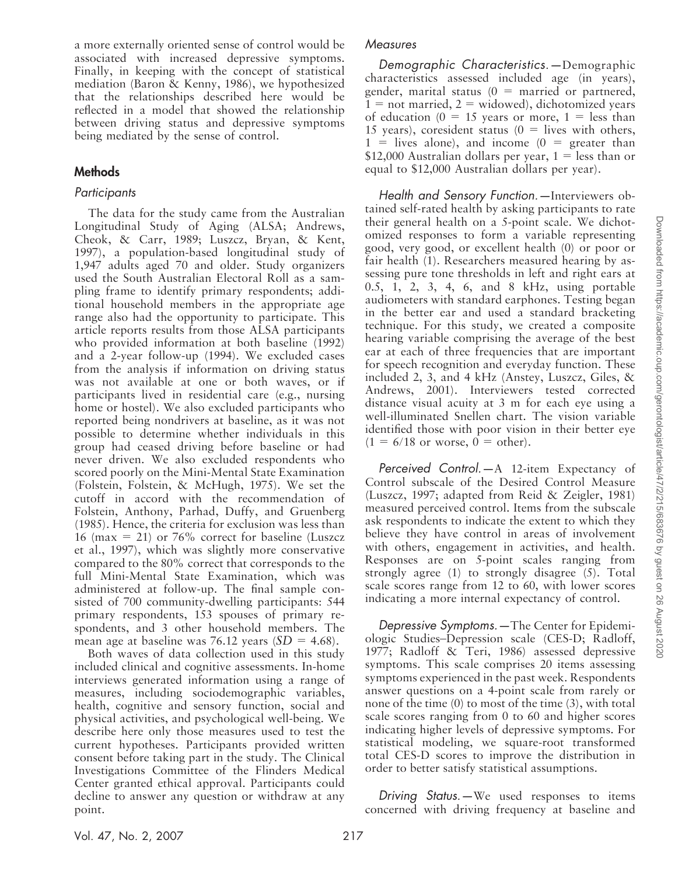a more externally oriented sense of control would be associated with increased depressive symptoms. Finally, in keeping with the concept of statistical mediation (Baron & Kenny, 1986), we hypothesized that the relationships described here would be reflected in a model that showed the relationship between driving status and depressive symptoms being mediated by the sense of control.

#### **Methods**

#### **Participants**

The data for the study came from the Australian Longitudinal Study of Aging (ALSA; Andrews, Cheok, & Carr, 1989; Luszcz, Bryan, & Kent, 1997), a population-based longitudinal study of 1,947 adults aged 70 and older. Study organizers used the South Australian Electoral Roll as a sampling frame to identify primary respondents; additional household members in the appropriate age range also had the opportunity to participate. This article reports results from those ALSA participants who provided information at both baseline (1992) and a 2-year follow-up (1994). We excluded cases from the analysis if information on driving status was not available at one or both waves, or if participants lived in residential care (e.g., nursing home or hostel). We also excluded participants who reported being nondrivers at baseline, as it was not possible to determine whether individuals in this group had ceased driving before baseline or had never driven. We also excluded respondents who scored poorly on the Mini-Mental State Examination (Folstein, Folstein, & McHugh, 1975). We set the cutoff in accord with the recommendation of Folstein, Anthony, Parhad, Duffy, and Gruenberg (1985). Hence, the criteria for exclusion was less than 16 (max = 21) or 76% correct for baseline (Luszcz et al., 1997), which was slightly more conservative compared to the 80% correct that corresponds to the full Mini-Mental State Examination, which was administered at follow-up. The final sample consisted of 700 community-dwelling participants: 544 primary respondents, 153 spouses of primary respondents, and 3 other household members. The mean age at baseline was 76.12 years  $SD = 4.68$ .

Both waves of data collection used in this study included clinical and cognitive assessments. In-home interviews generated information using a range of measures, including sociodemographic variables, health, cognitive and sensory function, social and physical activities, and psychological well-being. We describe here only those measures used to test the current hypotheses. Participants provided written consent before taking part in the study. The Clinical Investigations Committee of the Flinders Medical Center granted ethical approval. Participants could decline to answer any question or withdraw at any point.

## **Measures**

Demographic Characteristics.—Demographic characteristics assessed included age (in years), gender, marital status  $(0 =$  married or partnered,  $1 =$  not married,  $2 =$  widowed), dichotomized years of education  $(0 = 15$  years or more,  $1 =$  less than 15 years), coresident status  $(0 =$  lives with others,  $1 =$  lives alone), and income  $(0 =$  greater than \$12,000 Australian dollars per year,  $1 =$  less than or equal to \$12,000 Australian dollars per year).

Health and Sensory Function.—Interviewers obtained self-rated health by asking participants to rate their general health on a 5-point scale. We dichotomized responses to form a variable representing good, very good, or excellent health (0) or poor or fair health (1). Researchers measured hearing by assessing pure tone thresholds in left and right ears at 0.5, 1, 2, 3, 4, 6, and 8 kHz, using portable audiometers with standard earphones. Testing began in the better ear and used a standard bracketing technique. For this study, we created a composite hearing variable comprising the average of the best ear at each of three frequencies that are important for speech recognition and everyday function. These included 2, 3, and 4 kHz (Anstey, Luszcz, Giles, & Andrews, 2001). Interviewers tested corrected distance visual acuity at 3 m for each eye using a well-illuminated Snellen chart. The vision variable identified those with poor vision in their better eye  $(1 = 6/18$  or worse,  $0 =$  other).

Perceived Control.—A 12-item Expectancy of Control subscale of the Desired Control Measure (Luszcz, 1997; adapted from Reid & Zeigler, 1981) measured perceived control. Items from the subscale ask respondents to indicate the extent to which they believe they have control in areas of involvement with others, engagement in activities, and health. Responses are on 5-point scales ranging from strongly agree (1) to strongly disagree (5). Total scale scores range from 12 to 60, with lower scores indicating a more internal expectancy of control.

Depressive Symptoms.—The Center for Epidemiologic Studies–Depression scale (CES-D; Radloff, 1977; Radloff & Teri, 1986) assessed depressive symptoms. This scale comprises 20 items assessing symptoms experienced in the past week. Respondents answer questions on a 4-point scale from rarely or none of the time (0) to most of the time (3), with total scale scores ranging from 0 to 60 and higher scores indicating higher levels of depressive symptoms. For statistical modeling, we square-root transformed total CES-D scores to improve the distribution in order to better satisfy statistical assumptions.

Driving Status.—We used responses to items concerned with driving frequency at baseline and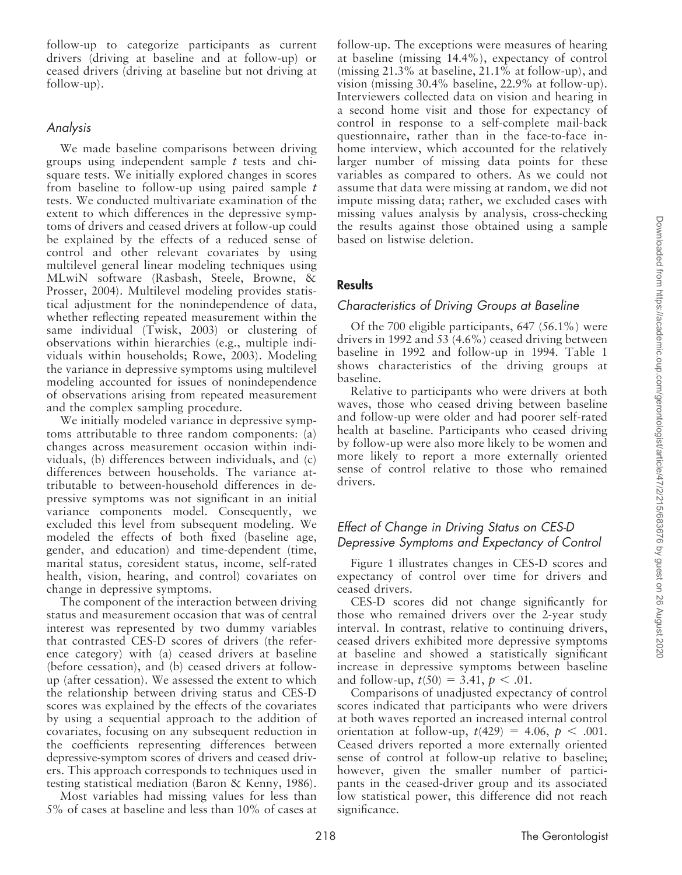follow-up to categorize participants as current drivers (driving at baseline and at follow-up) or ceased drivers (driving at baseline but not driving at follow-up).

## Analysis

We made baseline comparisons between driving groups using independent sample t tests and chisquare tests. We initially explored changes in scores from baseline to follow-up using paired sample t tests. We conducted multivariate examination of the extent to which differences in the depressive symptoms of drivers and ceased drivers at follow-up could be explained by the effects of a reduced sense of control and other relevant covariates by using multilevel general linear modeling techniques using MLwiN software (Rasbash, Steele, Browne, & Prosser, 2004). Multilevel modeling provides statistical adjustment for the nonindependence of data, whether reflecting repeated measurement within the same individual (Twisk, 2003) or clustering of observations within hierarchies (e.g., multiple individuals within households; Rowe, 2003). Modeling the variance in depressive symptoms using multilevel modeling accounted for issues of nonindependence of observations arising from repeated measurement and the complex sampling procedure.

We initially modeled variance in depressive symptoms attributable to three random components: (a) changes across measurement occasion within individuals, (b) differences between individuals, and (c) differences between households. The variance attributable to between-household differences in depressive symptoms was not significant in an initial variance components model. Consequently, we excluded this level from subsequent modeling. We modeled the effects of both fixed (baseline age, gender, and education) and time-dependent (time, marital status, coresident status, income, self-rated health, vision, hearing, and control) covariates on change in depressive symptoms.

The component of the interaction between driving status and measurement occasion that was of central interest was represented by two dummy variables that contrasted CES-D scores of drivers (the reference category) with (a) ceased drivers at baseline (before cessation), and (b) ceased drivers at followup (after cessation). We assessed the extent to which the relationship between driving status and CES-D scores was explained by the effects of the covariates by using a sequential approach to the addition of covariates, focusing on any subsequent reduction in the coefficients representing differences between depressive-symptom scores of drivers and ceased drivers. This approach corresponds to techniques used in testing statistical mediation (Baron & Kenny, 1986).

Most variables had missing values for less than 5% of cases at baseline and less than 10% of cases at follow-up. The exceptions were measures of hearing at baseline (missing 14.4%), expectancy of control (missing  $21.3\%$  at baseline,  $21.1\%$  at follow-up), and vision (missing 30.4% baseline, 22.9% at follow-up). Interviewers collected data on vision and hearing in a second home visit and those for expectancy of control in response to a self-complete mail-back questionnaire, rather than in the face-to-face inhome interview, which accounted for the relatively larger number of missing data points for these variables as compared to others. As we could not assume that data were missing at random, we did not impute missing data; rather, we excluded cases with missing values analysis by analysis, cross-checking the results against those obtained using a sample based on listwise deletion.

## **Results**

## Characteristics of Driving Groups at Baseline

Of the 700 eligible participants, 647 (56.1%) were drivers in 1992 and 53 (4.6%) ceased driving between baseline in 1992 and follow-up in 1994. Table 1 shows characteristics of the driving groups at baseline.

Relative to participants who were drivers at both waves, those who ceased driving between baseline and follow-up were older and had poorer self-rated health at baseline. Participants who ceased driving by follow-up were also more likely to be women and more likely to report a more externally oriented sense of control relative to those who remained drivers.

## Effect of Change in Driving Status on CES-D Depressive Symptoms and Expectancy of Control

Figure 1 illustrates changes in CES-D scores and expectancy of control over time for drivers and ceased drivers.

CES-D scores did not change significantly for those who remained drivers over the 2-year study interval. In contrast, relative to continuing drivers, ceased drivers exhibited more depressive symptoms at baseline and showed a statistically significant increase in depressive symptoms between baseline and follow-up,  $t(50) = 3.41$ ,  $p < .01$ .

Comparisons of unadjusted expectancy of control scores indicated that participants who were drivers at both waves reported an increased internal control orientation at follow-up,  $t(429) = 4.06$ ,  $p < .001$ . Ceased drivers reported a more externally oriented sense of control at follow-up relative to baseline; however, given the smaller number of participants in the ceased-driver group and its associated low statistical power, this difference did not reach significance.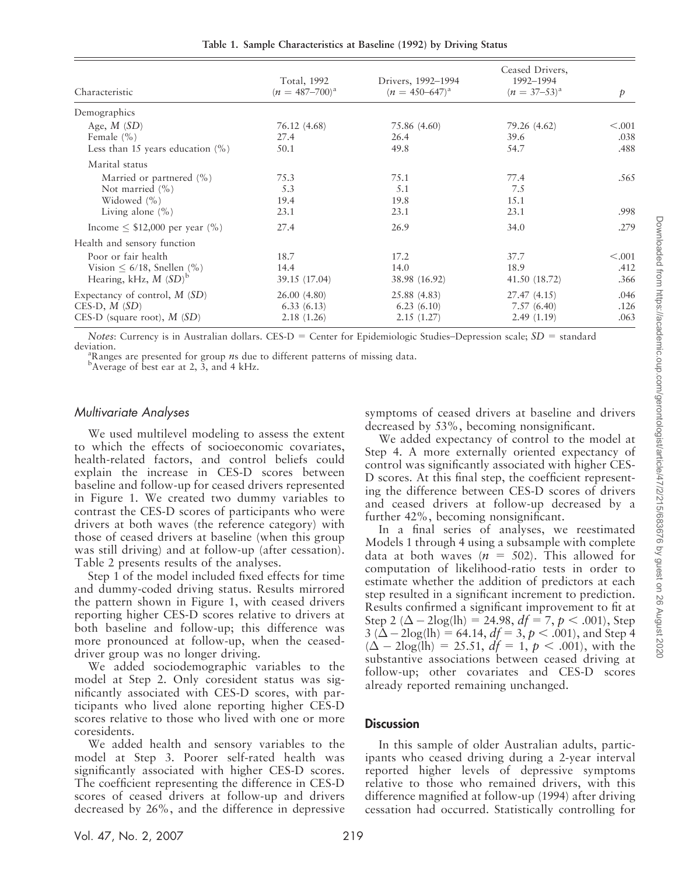|                                      | Total, 1992         | Drivers, 1992-1994  | Ceased Drivers,<br>1992-1994 |               |
|--------------------------------------|---------------------|---------------------|------------------------------|---------------|
| Characteristic                       | $(n = 487-700)^{a}$ | $(n = 450-647)^{a}$ | $(n = 37-53)^{a}$            | $\mathcal{P}$ |
| Demographics                         |                     |                     |                              |               |
| Age, $M(SD)$                         | 76.12 (4.68)        | 75.86 (4.60)        | 79.26 (4.62)                 | < .001        |
| Female $(\% )$                       | 27.4                | 26.4                | 39.6                         | .038          |
| Less than 15 years education $(\% )$ | 50.1                | 49.8                | 54.7                         | .488          |
| Marital status                       |                     |                     |                              |               |
| Married or partnered $(\% )$         | 75.3                | 75.1                | 77.4                         | .565          |
| Not married $(\% )$                  | 5.3                 | 5.1                 | 7.5                          |               |
| Widowed $(\% )$                      | 19.4                | 19.8                | 15.1                         |               |
| Living alone $(\% )$                 | 23.1                | 23.1                | 23.1                         | .998          |
| Income $\leq$ \$12,000 per year (%)  | 27.4                | 26.9                | 34.0                         | .279          |
| Health and sensory function          |                     |                     |                              |               |
| Poor or fair health                  | 18.7                | 17.2                | 37.7                         | < 0.001       |
| Vision $\leq 6/18$ , Snellen (%)     | 14.4                | 14.0                | 18.9                         | .412          |
| Hearing, kHz, $M(SD)^{b}$            | 39.15 (17.04)       | 38.98 (16.92)       | 41.50 (18.72)                | .366          |
| Expectancy of control, $M(SD)$       | 26.00(4.80)         | 25.88 (4.83)        | 27.47(4.15)                  | .046          |
| CES-D, $M(SD)$                       | 6.33(6.13)          | 6.23(6.10)          | 7.57(6.40)                   | .126          |
| CES-D (square root), $M(SD)$         | 2.18(1.26)          | 2.15(1.27)          | 2.49(1.19)                   | .063          |

Table 1. Sample Characteristics at Baseline (1992) by Driving Status

Notes: Currency is in Australian dollars. CES-D = Center for Epidemiologic Studies–Depression scale;  $SD =$  standard deviation.

<sup>a</sup>Ranges are presented for group *ns* due to different patterns of missing data.<br><sup>b</sup>Average of best ear at 2, 3, and 4 kHz.

#### Multivariate Analyses

We used multilevel modeling to assess the extent to which the effects of socioeconomic covariates, health-related factors, and control beliefs could explain the increase in CES-D scores between baseline and follow-up for ceased drivers represented in Figure 1. We created two dummy variables to contrast the CES-D scores of participants who were drivers at both waves (the reference category) with those of ceased drivers at baseline (when this group was still driving) and at follow-up (after cessation). Table 2 presents results of the analyses.

Step 1 of the model included fixed effects for time and dummy-coded driving status. Results mirrored the pattern shown in Figure 1, with ceased drivers reporting higher CES-D scores relative to drivers at both baseline and follow-up; this difference was more pronounced at follow-up, when the ceaseddriver group was no longer driving.

We added sociodemographic variables to the model at Step 2. Only coresident status was significantly associated with CES-D scores, with participants who lived alone reporting higher CES-D scores relative to those who lived with one or more coresidents.

We added health and sensory variables to the model at Step 3. Poorer self-rated health was significantly associated with higher CES-D scores. The coefficient representing the difference in CES-D scores of ceased drivers at follow-up and drivers decreased by 26%, and the difference in depressive

symptoms of ceased drivers at baseline and drivers decreased by 53%, becoming nonsignificant.

We added expectancy of control to the model at Step 4. A more externally oriented expectancy of control was significantly associated with higher CES-D scores. At this final step, the coefficient representing the difference between CES-D scores of drivers and ceased drivers at follow-up decreased by a further 42%, becoming nonsignificant.

In a final series of analyses, we reestimated Models 1 through 4 using a subsample with complete data at both waves ( $n = 502$ ). This allowed for computation of likelihood-ratio tests in order to estimate whether the addition of predictors at each step resulted in a significant increment to prediction. Results confirmed a significant improvement to fit at Step 2 ( $\Delta - 2\log(\text{lh}) = 24.98$ ,  $df = 7$ ,  $p < .001$ ), Step  $3 (\Delta - 2\log(\text{lh}) = 64.14, df = 3, p < .001)$ , and Step 4  $(\Delta - 2\log(\text{lh}) = 25.51, df = 1, p < .001)$ , with the substantive associations between ceased driving at follow-up; other covariates and CES-D scores already reported remaining unchanged.

#### **Discussion**

In this sample of older Australian adults, participants who ceased driving during a 2-year interval reported higher levels of depressive symptoms relative to those who remained drivers, with this difference magnified at follow-up (1994) after driving cessation had occurred. Statistically controlling for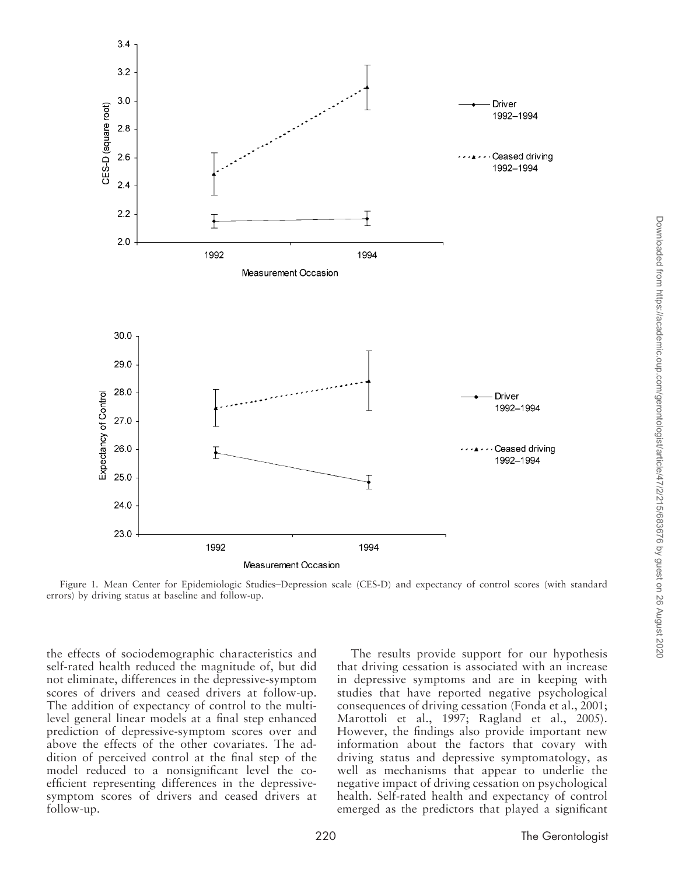

Figure 1. Mean Center for Epidemiologic Studies–Depression scale (CES-D) and expectancy of control scores (with standard errors) by driving status at baseline and follow-up.

the effects of sociodemographic characteristics and self-rated health reduced the magnitude of, but did not eliminate, differences in the depressive-symptom scores of drivers and ceased drivers at follow-up. The addition of expectancy of control to the multilevel general linear models at a final step enhanced prediction of depressive-symptom scores over and above the effects of the other covariates. The addition of perceived control at the final step of the model reduced to a nonsignificant level the coefficient representing differences in the depressivesymptom scores of drivers and ceased drivers at follow-up.

The results provide support for our hypothesis that driving cessation is associated with an increase in depressive symptoms and are in keeping with studies that have reported negative psychological consequences of driving cessation (Fonda et al., 2001; Marottoli et al., 1997; Ragland et al., 2005). However, the findings also provide important new information about the factors that covary with driving status and depressive symptomatology, as well as mechanisms that appear to underlie the negative impact of driving cessation on psychological health. Self-rated health and expectancy of control emerged as the predictors that played a significant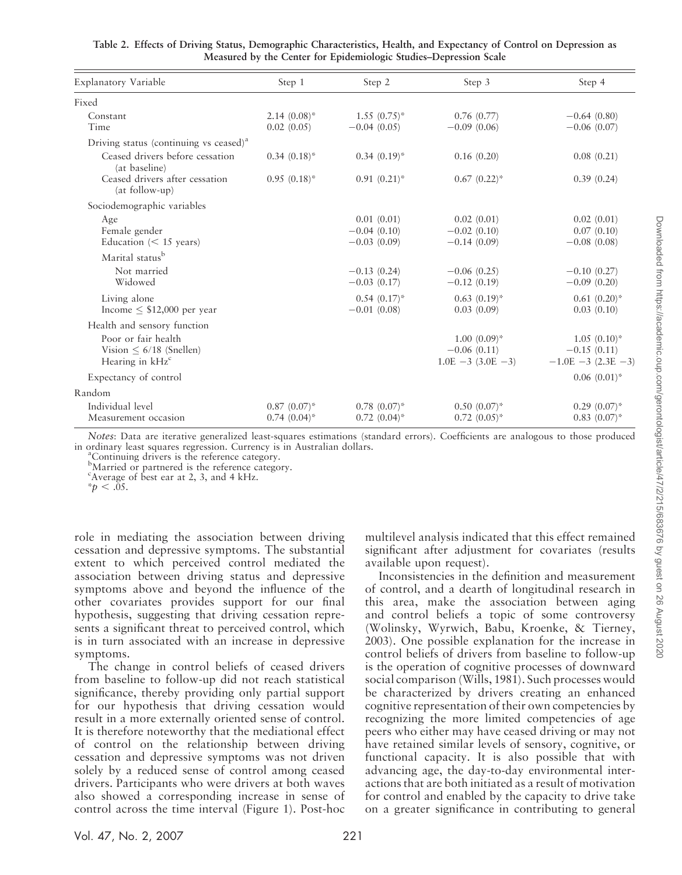| <b>Explanatory Variable</b>                      | Step 1           | Step 2           | Step 3               | Step 4                  |
|--------------------------------------------------|------------------|------------------|----------------------|-------------------------|
| Fixed                                            |                  |                  |                      |                         |
| Constant                                         | $2.14 (0.08)^*$  | $1.55(0.75)^{*}$ | 0.76(0.77)           | $-0.64(0.80)$           |
| Time                                             | 0.02(0.05)       | $-0.04(0.05)$    | $-0.09(0.06)$        | $-0.06(0.07)$           |
| Driving status (continuing vs ceased) $a$        |                  |                  |                      |                         |
| Ceased drivers before cessation<br>(at baseline) | $0.34(0.18)^{*}$ | $0.34(0.19)^{*}$ | 0.16(0.20)           | 0.08(0.21)              |
| Ceased drivers after cessation<br>(at follow-up) | $0.95(0.18)^{*}$ | $0.91(0.21)^{*}$ | $0.67(0.22)^{*}$     | 0.39(0.24)              |
| Sociodemographic variables                       |                  |                  |                      |                         |
| Age                                              |                  | 0.01(0.01)       | 0.02(0.01)           | 0.02(0.01)              |
| Female gender                                    |                  | $-0.04(0.10)$    | $-0.02(0.10)$        | 0.07(0.10)              |
| Education $(< 15$ years)                         |                  | $-0.03(0.09)$    | $-0.14(0.09)$        | $-0.08(0.08)$           |
| Marital status <sup>b</sup>                      |                  |                  |                      |                         |
| Not married                                      |                  | $-0.13(0.24)$    | $-0.06(0.25)$        | $-0.10(0.27)$           |
| Widowed                                          |                  | $-0.03(0.17)$    | $-0.12(0.19)$        | $-0.09(0.20)$           |
| Living alone                                     |                  | $0.54(0.17)^{*}$ | $0.63(0.19)^{*}$     | $0.61 (0.20)^*$         |
| Income $\leq$ \$12,000 per year                  |                  | $-0.01(0.08)$    | 0.03(0.09)           | 0.03(0.10)              |
| Health and sensory function                      |                  |                  |                      |                         |
| Poor or fair health                              |                  |                  | $1.00 (0.09)^*$      | $1.05(0.10)^{*}$        |
| Vision $\leq 6/18$ (Snellen)                     |                  |                  | $-0.06(0.11)$        | $-0.15(0.11)$           |
| Hearing in $kHz^c$                               |                  |                  | $1.0E - 3(3.0E - 3)$ | $-1.0E -3$ (2.3E $-3$ ) |
| Expectancy of control                            |                  |                  |                      | $0.06(0.01)^*$          |

Table 2. Effects of Driving Status, Demographic Characteristics, Health, and Expectancy of Control on Depression as Measured by the Center for Epidemiologic Studies–Depression Scale

Random

Notes: Data are iterative generalized least-squares estimations (standard errors). Coefficients are analogous to those produced in ordinary least squares regression. Currency is in Australian dollars.

Individual level  $0.87 \ (0.07)^*$   $0.78 \ (0.07)^*$   $0.50 \ (0.07)^*$   $0.29 \ (0.07)^*$ Measurement occasion  $0.74 \ (0.04)^*$   $0.72 \ (0.04)^*$   $0.72 \ (0.05)^*$   $0.83 \ (0.07)^*$ 

<sup>a</sup>Continuing drivers is the reference category.

b Married or partnered is the reference category.

c Average of best ear at 2, 3, and 4 kHz.

role in mediating the association between driving cessation and depressive symptoms. The substantial extent to which perceived control mediated the association between driving status and depressive symptoms above and beyond the influence of the other covariates provides support for our final hypothesis, suggesting that driving cessation represents a significant threat to perceived control, which is in turn associated with an increase in depressive symptoms.

The change in control beliefs of ceased drivers from baseline to follow-up did not reach statistical significance, thereby providing only partial support for our hypothesis that driving cessation would result in a more externally oriented sense of control. It is therefore noteworthy that the mediational effect of control on the relationship between driving cessation and depressive symptoms was not driven solely by a reduced sense of control among ceased drivers. Participants who were drivers at both waves also showed a corresponding increase in sense of control across the time interval (Figure 1). Post-hoc multilevel analysis indicated that this effect remained significant after adjustment for covariates (results available upon request).

Inconsistencies in the definition and measurement of control, and a dearth of longitudinal research in this area, make the association between aging and control beliefs a topic of some controversy (Wolinsky, Wyrwich, Babu, Kroenke, & Tierney, 2003). One possible explanation for the increase in control beliefs of drivers from baseline to follow-up is the operation of cognitive processes of downward social comparison (Wills, 1981). Such processes would be characterized by drivers creating an enhanced cognitive representation of their own competencies by recognizing the more limited competencies of age peers who either may have ceased driving or may not have retained similar levels of sensory, cognitive, or functional capacity. It is also possible that with advancing age, the day-to-day environmental interactions that are both initiated as a result of motivation for control and enabled by the capacity to drive take on a greater significance in contributing to general

 $*_{\mathcal{D}} < .05.$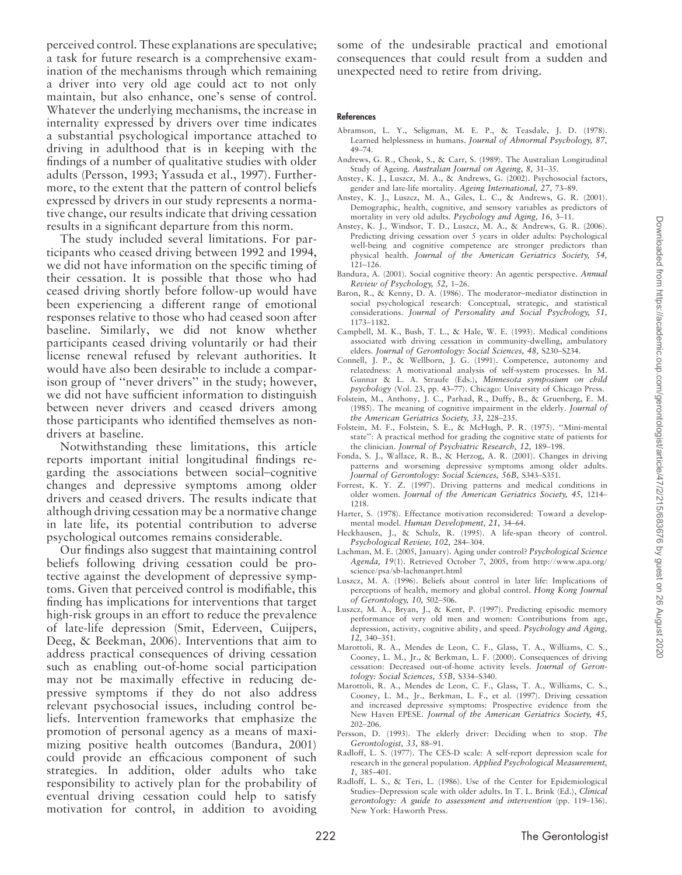perceived control. These explanations are speculative; a task for future research is a comprehensive examination of the mechanisms through which remaining a driver into very old age could act to not only maintain, but also enhance, one's sense of control. Whatever the underlying mechanisms, the increase in internality expressed by drivers over time indicates a substantial psychological importance attached to driving in adulthood that is in keeping with the findings of a number of qualitative studies with older adults (Persson, 1993; Yassuda et al., 1997). Furthermore, to the extent that the pattern of control beliefs expressed by drivers in our study represents a normative change, our results indicate that driving cessation results in a significant departure from this norm.

The study included several limitations. For participants who ceased driving between 1992 and 1994, we did not have information on the specific timing of their cessation. It is possible that those who had ceased driving shortly before follow-up would have been experiencing a different range of emotional responses relative to those who had ceased soon after baseline. Similarly, we did not know whether participants ceased driving voluntarily or had their license renewal refused by relevant authorities. It would have also been desirable to include a comparison group of ''never drivers'' in the study; however, we did not have sufficient information to distinguish between never drivers and ceased drivers among those participants who identified themselves as nondrivers at baseline.

Notwithstanding these limitations, this article reports important initial longitudinal findings regarding the associations between social–cognitive changes and depressive symptoms among older drivers and ceased drivers. The results indicate that although driving cessation may be a normative change in late life, its potential contribution to adverse psychological outcomes remains considerable.

Our findings also suggest that maintaining control beliefs following driving cessation could be protective against the development of depressive symptoms. Given that perceived control is modifiable, this finding has implications for interventions that target high-risk groups in an effort to reduce the prevalence of late-life depression (Smit, Ederveen, Cuijpers, Deeg, & Beekman, 2006). Interventions that aim to address practical consequences of driving cessation such as enabling out-of-home social participation may not be maximally effective in reducing depressive symptoms if they do not also address relevant psychosocial issues, including control beliefs. Intervention frameworks that emphasize the promotion of personal agency as a means of maximizing positive health outcomes (Bandura, 2001) could provide an efficacious component of such strategies. In addition, older adults who take responsibility to actively plan for the probability of eventual driving cessation could help to satisfy motivation for control, in addition to avoiding some of the undesirable practical and emotional consequences that could result from a sudden and unexpected need to retire from driving.

#### References

- Abramson, L. Y., Seligman, M. E. P., & Teasdale, J. D. (1978). Learned helplessness in humans. Journal of Abnormal Psychology, 87, 49–74.
- Andrews, G. R., Cheok, S., & Carr, S. (1989). The Australian Longitudinal Study of Ageing. Australian Journal on Ageing, 8, 31–35.
- Anstey, K. J., Luszcz, M. A., & Andrews, G. (2002). Psychosocial factors, gender and late-life mortality. Ageing International, 27, 73–89.
- Anstey, K. J., Luszcz, M. A., Giles, L. C., & Andrews, G. R. (2001). Demographic, health, cognitive, and sensory variables as predictors of mortality in very old adults. Psychology and Aging, 16, 3–11.
- Anstey, K. J., Windsor, T. D., Luszcz, M. A., & Andrews, G. R. (2006). Predicting driving cessation over 5 years in older adults: Psychological well-being and cognitive competence are stronger predictors than physical health. Journal of the American Geriatrics Society, 54, 121–126.
- Bandura, A. (2001). Social cognitive theory: An agentic perspective. Annual Review of Psychology, 52, 1–26.
- Baron, R., & Kenny, D. A. (1986). The moderator–mediator distinction in social psychological research: Conceptual, strategic, and statistical considerations. Journal of Personality and Social Psychology, 51, 1173–1182.
- Campbell, M. K., Bush, T. L., & Hale, W. E. (1993). Medical conditions associated with driving cessation in community-dwelling, ambulatory elders. Journal of Gerontology: Social Sciences, 48, S230–S234.
- Connell, J. P., & Wellborn, J. G. (1991). Competence, autonomy and relatedness: A motivational analysis of self-system processes. In M. Gunnar & L. A. Straufe (Eds.), Minnesota symposium on child psychology (Vol. 23, pp. 43–77). Chicago: University of Chicago Press.
- Folstein, M., Anthony, J. C., Parhad, R., Duffy, B., & Gruenberg, E. M. (1985). The meaning of cognitive impairment in the elderly. Journal of the American Geriatrics Society, 33, 228–235.
- Folstein, M. F., Folstein, S. E., & McHugh, P. R. (1975). ''Mini-mental state'': A practical method for grading the cognitive state of patients for the clinician. Journal of Psychiatric Research, 12, 189–198.
- Fonda, S. J., Wallace, R. B., & Herzog, A. R. (2001). Changes in driving patterns and worsening depressive symptoms among older adults. Journal of Gerontology: Social Sciences, 56B, S343–S351.
- Forrest, K. Y. Z. (1997). Driving patterns and medical conditions in older women. Journal of the American Geriatrics Society, 45, 1214– 1218.
- Harter, S. (1978). Effectance motivation reconsidered: Toward a developmental model. Human Development, 21, 34–64.
- Heckhausen, J., & Schulz, R. (1995). A life-span theory of control. Psychological Review, 102, 284–304.
- Lachman, M. E. (2005, January). Aging under control? Psychological Science Agenda, 19(1). Retrieved October 7, 2005, from http://www.apa.org/ science/psa/sb-lachmanprt.html
- Luszcz, M. A. (1996). Beliefs about control in later life: Implications of perceptions of health, memory and global control. Hong Kong Journal of Gerontology, 10, 502–506.
- Luszcz, M. A., Bryan, J., & Kent, P. (1997). Predicting episodic memory performance of very old men and women: Contributions from age, depression, activity, cognitive ability, and speed. Psychology and Aging, 12, 340–351.
- Marottoli, R. A., Mendes de Leon, C. F., Glass, T. A., Williams, C. S., Cooney, L. M., Jr., & Berkman, L. F. (2000). Consequences of driving cessation: Decreased out-of-home activity levels. Journal of Gerontology: Social Sciences, 55B, S334–S340.
- Marottoli, R. A., Mendes de Leon, C. F., Glass, T. A., Williams, C. S., Cooney, L. M., Jr., Berkman, L. F., et al. (1997). Driving cessation and increased depressive symptoms: Prospective evidence from the New Haven EPESE. Journal of the American Geriatrics Society, 45, 202–206.
- Persson, D. (1993). The elderly driver: Deciding when to stop. The Gerontologist, 33, 88–91.
- Radloff, L. S. (1977). The CES-D scale: A self-report depression scale for research in the general population. Applied Psychological Measurement, 1, 385–401.
- Radloff, L. S., & Teri, L. (1986). Use of the Center for Epidemiological Studies–Depression scale with older adults. In T. L. Brink (Ed.), Clinical gerontology: A guide to assessment and intervention (pp. 119–136). New York: Haworth Press.